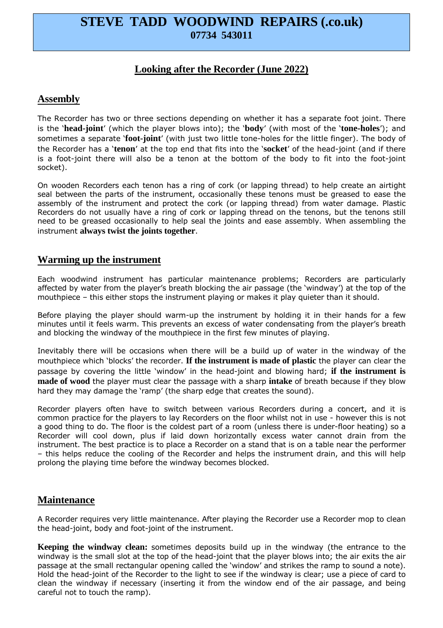# **STEVE TADD WOODWIND REPAIRS (.co.uk) 07734 543011**

# **Looking after the Recorder (June 2022)**

#### **Assembly**

The Recorder has two or three sections depending on whether it has a separate foot joint. There is the '**head-joint**' (which the player blows into); the '**body**' (with most of the '**tone-holes**'); and sometimes a separate '**foot-joint**' (with just two little tone-holes for the little finger). The body of the Recorder has a '**tenon**' at the top end that fits into the '**socket**' of the head-joint (and if there is a foot-joint there will also be a tenon at the bottom of the body to fit into the foot-joint socket).

On wooden Recorders each tenon has a ring of cork (or lapping thread) to help create an airtight seal between the parts of the instrument, occasionally these tenons must be greased to ease the assembly of the instrument and protect the cork (or lapping thread) from water damage. Plastic Recorders do not usually have a ring of cork or lapping thread on the tenons, but the tenons still need to be greased occasionally to help seal the joints and ease assembly. When assembling the instrument **always twist the joints together**.

#### **Warming up the instrument**

Each woodwind instrument has particular maintenance problems; Recorders are particularly affected by water from the player's breath blocking the air passage (the 'windway') at the top of the mouthpiece – this either stops the instrument playing or makes it play quieter than it should.

Before playing the player should warm-up the instrument by holding it in their hands for a few minutes until it feels warm. This prevents an excess of water condensating from the player's breath and blocking the windway of the mouthpiece in the first few minutes of playing.

Inevitably there will be occasions when there will be a build up of water in the windway of the mouthpiece which 'blocks' the recorder. **If the instrument is made of plastic** the player can clear the passage by covering the little 'window' in the head-joint and blowing hard; **if the instrument is made of wood** the player must clear the passage with a sharp **intake** of breath because if they blow hard they may damage the 'ramp' (the sharp edge that creates the sound).

Recorder players often have to switch between various Recorders during a concert, and it is common practice for the players to lay Recorders on the floor whilst not in use - however this is not a good thing to do. The floor is the coldest part of a room (unless there is under-floor heating) so a Recorder will cool down, plus if laid down horizontally excess water cannot drain from the instrument. The best practice is to place a Recorder on a stand that is on a table near the performer – this helps reduce the cooling of the Recorder and helps the instrument drain, and this will help prolong the playing time before the windway becomes blocked.

## **Maintenance**

A Recorder requires very little maintenance. After playing the Recorder use a Recorder mop to clean the head-joint, body and foot-joint of the instrument.

**Keeping the windway clean:** sometimes deposits build up in the windway (the entrance to the windway is the small slot at the top of the head-joint that the player blows into; the air exits the air passage at the small rectangular opening called the 'window' and strikes the ramp to sound a note). Hold the head-joint of the Recorder to the light to see if the windway is clear; use a piece of card to clean the windway if necessary (inserting it from the window end of the air passage, and being careful not to touch the ramp).